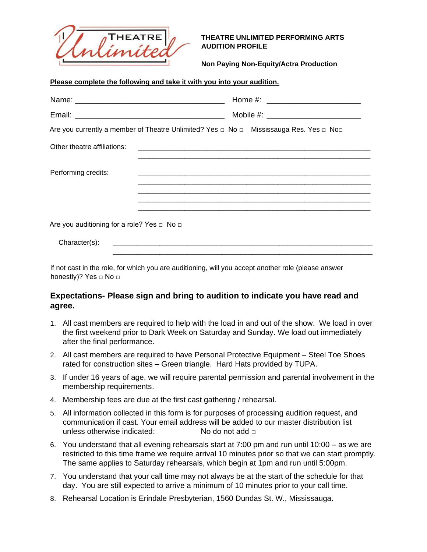

**Please complete the following and take it with you into your audition.**

## **THEATRE UNLIMITED PERFORMING ARTS AUDITION PROFILE**

**Non Paying Non-Equity/Actra Production**

| Are you currently a member of Theatre Unlimited? Yes $\Box$ No $\Box$ Mississauga Res. Yes $\Box$ No $\Box$ |  |
|-------------------------------------------------------------------------------------------------------------|--|
| Other theatre affiliations:                                                                                 |  |
| Performing credits:                                                                                         |  |
|                                                                                                             |  |
| Are you auditioning for a role? Yes $\Box$ No $\Box$                                                        |  |
| Character(s):                                                                                               |  |

If not cast in the role, for which you are auditioning, will you accept another role (please answer honestly)? Yes □ No □

## **Expectations- Please sign and bring to audition to indicate you have read and agree.**

- 1. All cast members are required to help with the load in and out of the show. We load in over the first weekend prior to Dark Week on Saturday and Sunday. We load out immediately after the final performance.
- 2. All cast members are required to have Personal Protective Equipment Steel Toe Shoes rated for construction sites – Green triangle. Hard Hats provided by TUPA.
- 3. If under 16 years of age, we will require parental permission and parental involvement in the membership requirements.
- 4. Membership fees are due at the first cast gathering / rehearsal.
- 5. All information collected in this form is for purposes of processing audition request, and communication if cast. Your email address will be added to our master distribution list unless otherwise indicated: No do not add □
- 6. You understand that all evening rehearsals start at 7:00 pm and run until 10:00 as we are restricted to this time frame we require arrival 10 minutes prior so that we can start promptly. The same applies to Saturday rehearsals, which begin at 1pm and run until 5:00pm.
- 7. You understand that your call time may not always be at the start of the schedule for that day. You are still expected to arrive a minimum of 10 minutes prior to your call time.
- 8. Rehearsal Location is Erindale Presbyterian, 1560 Dundas St. W., Mississauga.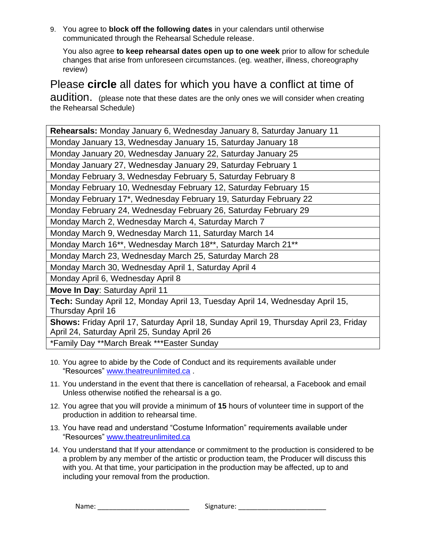9. You agree to **block off the following dates** in your calendars until otherwise communicated through the Rehearsal Schedule release.

You also agree **to keep rehearsal dates open up to one week** prior to allow for schedule changes that arise from unforeseen circumstances. (eg. weather, illness, choreography review)

## Please **circle** all dates for which you have a conflict at time of

audition. (please note that these dates are the only ones we will consider when creating the Rehearsal Schedule)

| Rehearsals: Monday January 6, Wednesday January 8, Saturday January 11                                                                |  |  |
|---------------------------------------------------------------------------------------------------------------------------------------|--|--|
| Monday January 13, Wednesday January 15, Saturday January 18                                                                          |  |  |
| Monday January 20, Wednesday January 22, Saturday January 25                                                                          |  |  |
| Monday January 27, Wednesday January 29, Saturday February 1                                                                          |  |  |
| Monday February 3, Wednesday February 5, Saturday February 8                                                                          |  |  |
| Monday February 10, Wednesday February 12, Saturday February 15                                                                       |  |  |
| Monday February 17*, Wednesday February 19, Saturday February 22                                                                      |  |  |
| Monday February 24, Wednesday February 26, Saturday February 29                                                                       |  |  |
| Monday March 2, Wednesday March 4, Saturday March 7                                                                                   |  |  |
| Monday March 9, Wednesday March 11, Saturday March 14                                                                                 |  |  |
| Monday March 16 <sup>**</sup> , Wednesday March 18 <sup>**</sup> , Saturday March 21 <sup>**</sup>                                    |  |  |
| Monday March 23, Wednesday March 25, Saturday March 28                                                                                |  |  |
| Monday March 30, Wednesday April 1, Saturday April 4                                                                                  |  |  |
| Monday April 6, Wednesday April 8                                                                                                     |  |  |
| Move In Day: Saturday April 11                                                                                                        |  |  |
| Tech: Sunday April 12, Monday April 13, Tuesday April 14, Wednesday April 15,                                                         |  |  |
| Thursday April 16                                                                                                                     |  |  |
| Shows: Friday April 17, Saturday April 18, Sunday April 19, Thursday April 23, Friday<br>April 24, Saturday April 25, Sunday April 26 |  |  |
| *Family Day **March Break ***Easter Sunday                                                                                            |  |  |

- 10. You agree to abide by the Code of Conduct and its requirements available under "Resources" [www.theatreunlimited.ca](http://www.theatreunlimited.ca/) [.](http://www.theatreunlimited.ca/)
- 11. You understand in the event that there is cancellation of rehearsal, a Facebook and email Unless otherwise notified the rehearsal is a go.
- 12. You agree that you will provide a minimum of **15** hours of volunteer time in support of the production in addition to rehearsal time.
- 13. You have read and understand "Costume Information" requirements available under "Resources" [www.theatreunlimited.ca](http://www.theatreunlimited.ca/)
- 14. You understand that If your attendance or commitment to the production is considered to be a problem by any member of the artistic or production team, the Producer will discuss this with you. At that time, your participation in the production may be affected, up to and including your removal from the production.

Name: example and the state of Signature:  $\sim$  Signature: